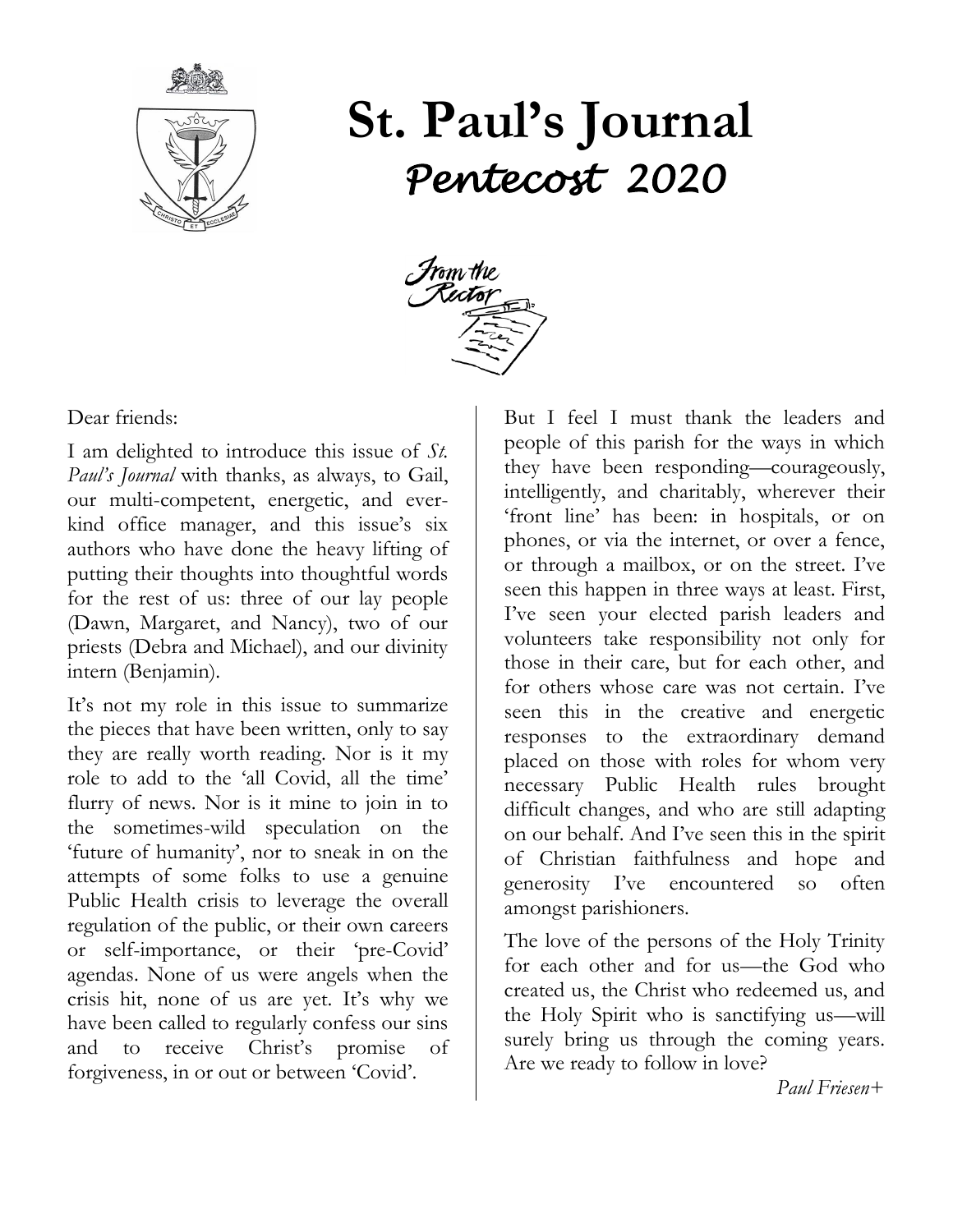

# **St. Paul's Journal** *Pentecost 2020*



Dear friends:

I am delighted to introduce this issue of *St. Paul's Journal* with thanks, as always, to Gail, our multi-competent, energetic, and everkind office manager, and this issue's six authors who have done the heavy lifting of putting their thoughts into thoughtful words for the rest of us: three of our lay people (Dawn, Margaret, and Nancy), two of our priests (Debra and Michael), and our divinity intern (Benjamin).

It's not my role in this issue to summarize the pieces that have been written, only to say they are really worth reading. Nor is it my role to add to the 'all Covid, all the time' flurry of news. Nor is it mine to join in to the sometimes-wild speculation on the 'future of humanity', nor to sneak in on the attempts of some folks to use a genuine Public Health crisis to leverage the overall regulation of the public, or their own careers or self-importance, or their 'pre-Covid' agendas. None of us were angels when the crisis hit, none of us are yet. It's why we have been called to regularly confess our sins and to receive Christ's promise of forgiveness, in or out or between 'Covid'.

But I feel I must thank the leaders and people of this parish for the ways in which they have been responding—courageously, intelligently, and charitably, wherever their 'front line' has been: in hospitals, or on phones, or via the internet, or over a fence, or through a mailbox, or on the street. I've seen this happen in three ways at least. First, I've seen your elected parish leaders and volunteers take responsibility not only for those in their care, but for each other, and for others whose care was not certain. I've seen this in the creative and energetic responses to the extraordinary demand placed on those with roles for whom very necessary Public Health rules brought difficult changes, and who are still adapting on our behalf. And I've seen this in the spirit of Christian faithfulness and hope and generosity I've encountered so often amongst parishioners.

The love of the persons of the Holy Trinity for each other and for us—the God who created us, the Christ who redeemed us, and the Holy Spirit who is sanctifying us—will surely bring us through the coming years. Are we ready to follow in love?

 *Paul Friesen+*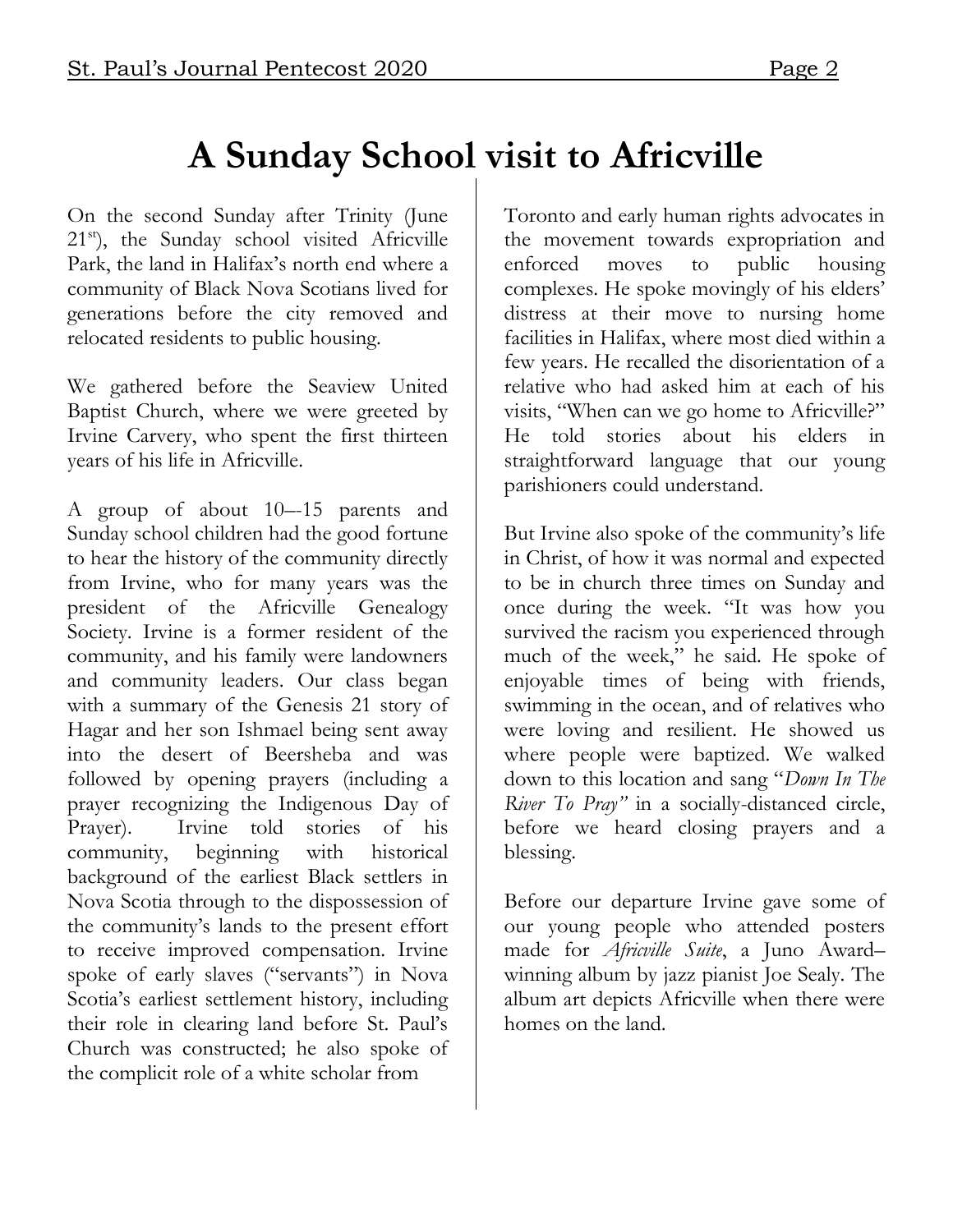#### **A Sunday School visit to Africville**

On the second Sunday after Trinity (June 21<sup>st</sup>), the Sunday school visited Africville Park, the land in Halifax's north end where a community of Black Nova Scotians lived for generations before the city removed and relocated residents to public housing.

We gathered before the Seaview United Baptist Church, where we were greeted by Irvine Carvery, who spent the first thirteen years of his life in Africville.

A group of about 10–-15 parents and Sunday school children had the good fortune to hear the history of the community directly from Irvine, who for many years was the president of the Africville Genealogy Society. Irvine is a former resident of the community, and his family were landowners and community leaders. Our class began with a summary of the Genesis 21 story of Hagar and her son Ishmael being sent away into the desert of Beersheba and was followed by opening prayers (including a prayer recognizing the Indigenous Day of Prayer). Irvine told stories of his community, beginning with historical background of the earliest Black settlers in Nova Scotia through to the dispossession of the community's lands to the present effort to receive improved compensation. Irvine spoke of early slaves ("servants") in Nova Scotia's earliest settlement history, including their role in clearing land before St. Paul's Church was constructed; he also spoke of the complicit role of a white scholar from

Toronto and early human rights advocates in the movement towards expropriation and enforced moves to public housing complexes. He spoke movingly of his elders' distress at their move to nursing home facilities in Halifax, where most died within a few years. He recalled the disorientation of a relative who had asked him at each of his visits, "When can we go home to Africville?" He told stories about his elders in straightforward language that our young parishioners could understand.

But Irvine also spoke of the community's life in Christ, of how it was normal and expected to be in church three times on Sunday and once during the week. "It was how you survived the racism you experienced through much of the week," he said. He spoke of enjoyable times of being with friends, swimming in the ocean, and of relatives who were loving and resilient. He showed us where people were baptized. We walked down to this location and sang "*Down In The River To Pray"* in a socially-distanced circle, before we heard closing prayers and a blessing.

Before our departure Irvine gave some of our young people who attended posters made for *Africville Suite*, a Juno Award– winning album by jazz pianist Joe Sealy. The album art depicts Africville when there were homes on the land.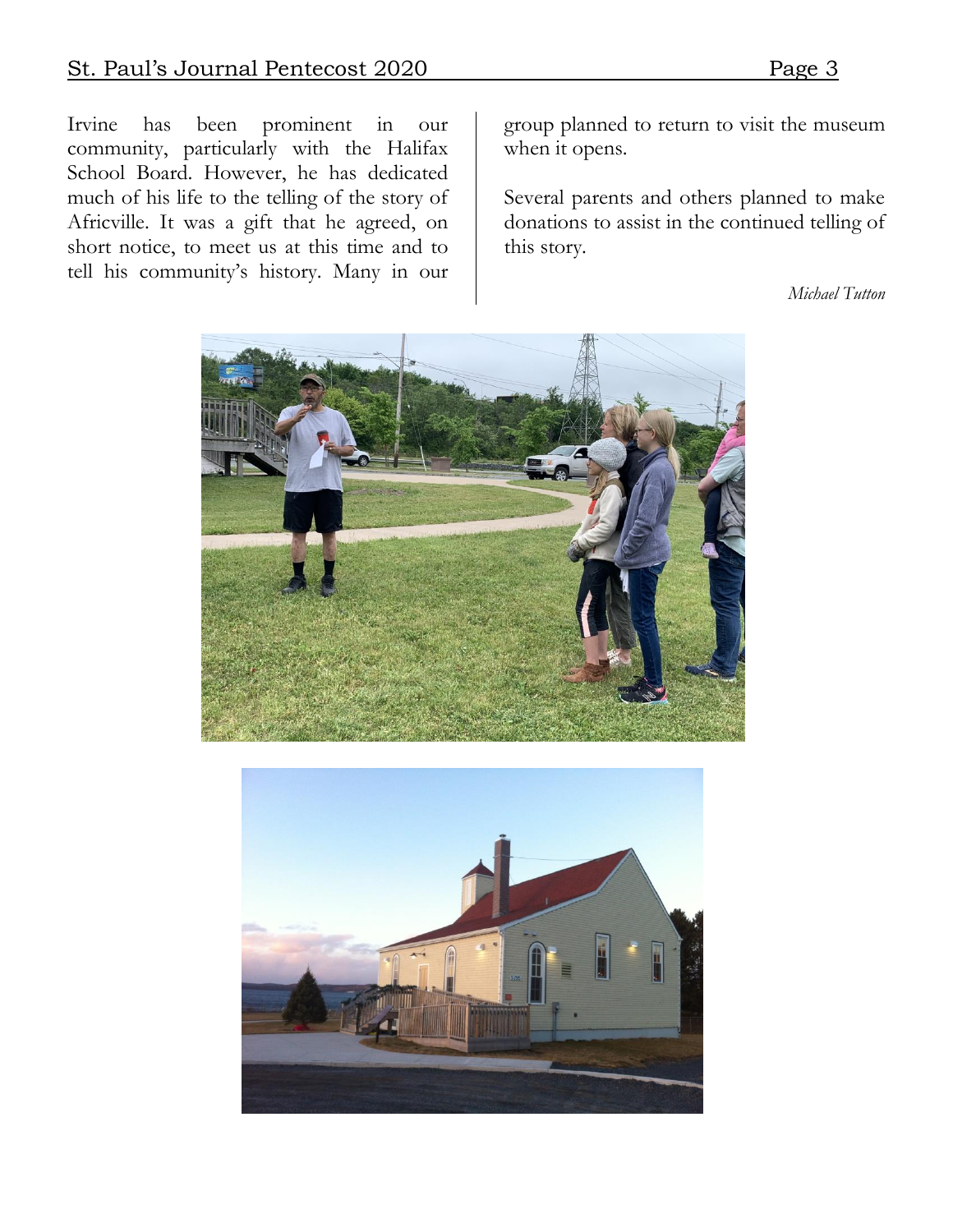Irvine has been prominent in our community, particularly with the Halifax School Board. However, he has dedicated much of his life to the telling of the story of Africville. It was a gift that he agreed, on short notice, to meet us at this time and to tell his community's history. Many in our

group planned to return to visit the museum when it opens.

Several parents and others planned to make donations to assist in the continued telling of this story.

*Michael Tutton*



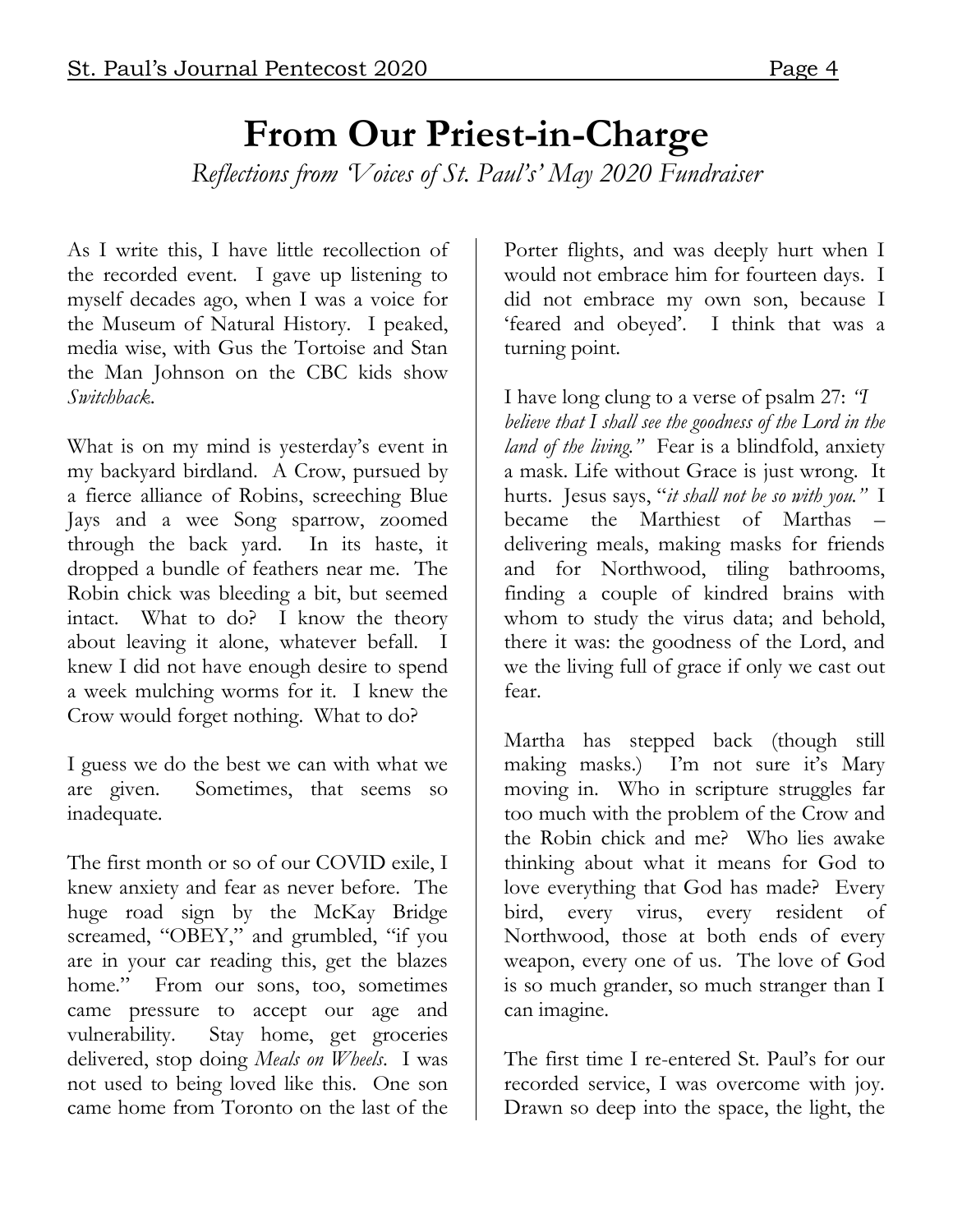#### **From Our Priest-in-Charge** *Reflections from 'Voices of St. Paul's' May 2020 Fundraiser*

As I write this, I have little recollection of the recorded event. I gave up listening to myself decades ago, when I was a voice for the Museum of Natural History. I peaked, media wise, with Gus the Tortoise and Stan the Man Johnson on the CBC kids show *Switchback*.

What is on my mind is yesterday's event in my backyard birdland. A Crow, pursued by a fierce alliance of Robins, screeching Blue Jays and a wee Song sparrow, zoomed through the back yard. In its haste, it dropped a bundle of feathers near me. The Robin chick was bleeding a bit, but seemed intact. What to do? I know the theory about leaving it alone, whatever befall. I knew I did not have enough desire to spend a week mulching worms for it. I knew the Crow would forget nothing. What to do?

I guess we do the best we can with what we are given. Sometimes, that seems so inadequate.

The first month or so of our COVID exile, I knew anxiety and fear as never before. The huge road sign by the McKay Bridge screamed, "OBEY," and grumbled, "if you are in your car reading this, get the blazes home." From our sons, too, sometimes came pressure to accept our age and vulnerability. Stay home, get groceries delivered, stop doing *Meals on Wheels*. I was not used to being loved like this. One son came home from Toronto on the last of the

Porter flights, and was deeply hurt when I would not embrace him for fourteen days. I did not embrace my own son, because I 'feared and obeyed'. I think that was a turning point.

I have long clung to a verse of psalm 27: *"I believe that I shall see the goodness of the Lord in the land of the living."* Fear is a blindfold, anxiety a mask. Life without Grace is just wrong. It hurts. Jesus says, "*it shall not be so with you."* I became the Marthiest of Marthas delivering meals, making masks for friends and for Northwood, tiling bathrooms, finding a couple of kindred brains with whom to study the virus data; and behold, there it was: the goodness of the Lord, and we the living full of grace if only we cast out fear.

Martha has stepped back (though still making masks.) I'm not sure it's Mary moving in. Who in scripture struggles far too much with the problem of the Crow and the Robin chick and me? Who lies awake thinking about what it means for God to love everything that God has made? Every bird, every virus, every resident of Northwood, those at both ends of every weapon, every one of us. The love of God is so much grander, so much stranger than I can imagine.

The first time I re-entered St. Paul's for our recorded service, I was overcome with joy. Drawn so deep into the space, the light, the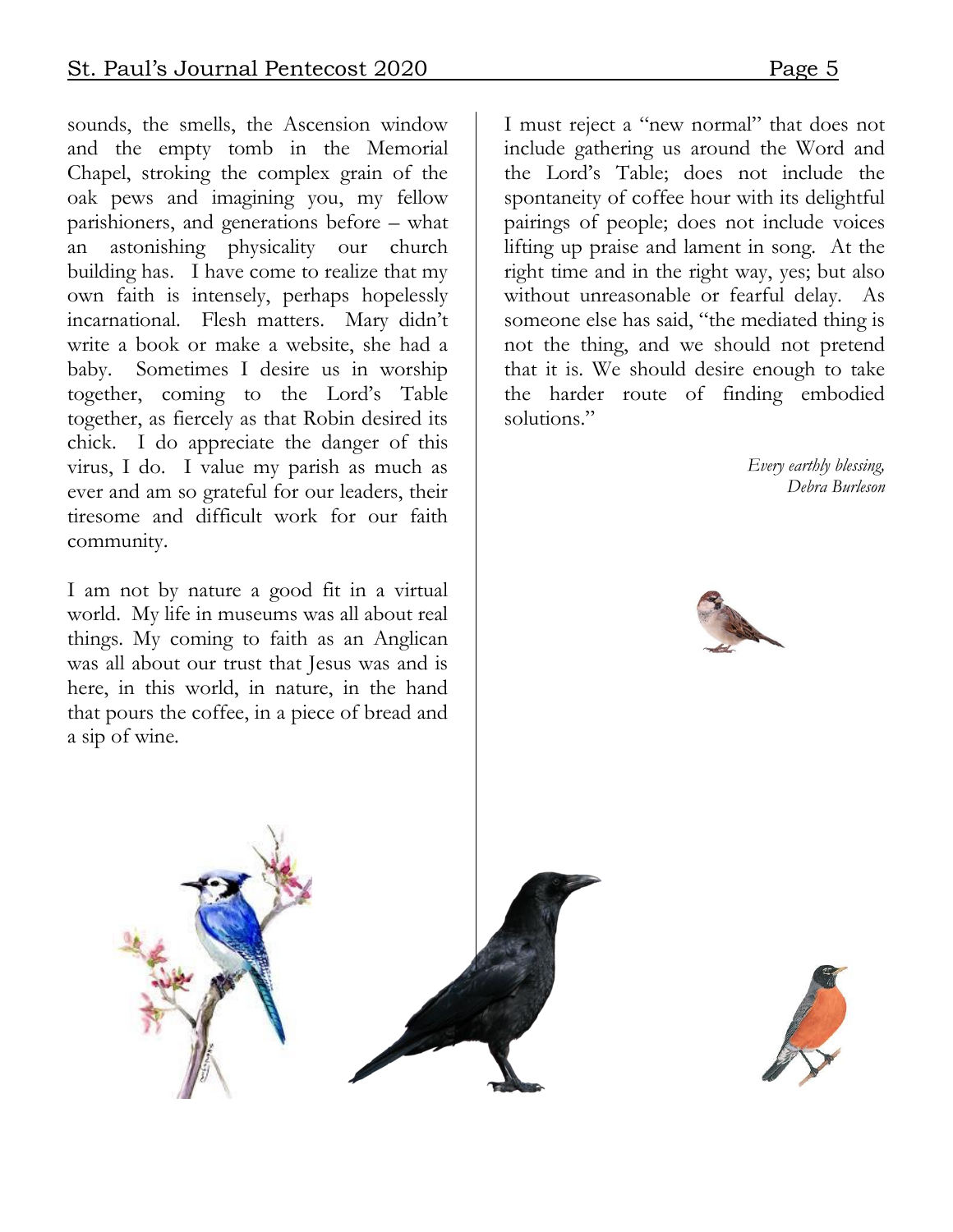sounds, the smells, the Ascension window and the empty tomb in the Memorial Chapel, stroking the complex grain of the oak pews and imagining you, my fellow parishioners, and generations before – what an astonishing physicality our church building has. I have come to realize that my own faith is intensely, perhaps hopelessly incarnational. Flesh matters. Mary didn't write a book or make a website, she had a baby. Sometimes I desire us in worship together, coming to the Lord's Table together, as fiercely as that Robin desired its chick. I do appreciate the danger of this virus, I do. I value my parish as much as ever and am so grateful for our leaders, their tiresome and difficult work for our faith community.

I am not by nature a good fit in a virtual world. My life in museums was all about real things. My coming to faith as an Anglican was all about our trust that Jesus was and is here, in this world, in nature, in the hand that pours the coffee, in a piece of bread and a sip of wine.

I must reject a "new normal" that does not include gathering us around the Word and the Lord's Table; does not include the spontaneity of coffee hour with its delightful pairings of people; does not include voices lifting up praise and lament in song. At the right time and in the right way, yes; but also without unreasonable or fearful delay. As someone else has said, "the mediated thing is not the thing, and we should not pretend that it is. We should desire enough to take the harder route of finding embodied solutions."

> *Every earthly blessing, Debra Burleson*





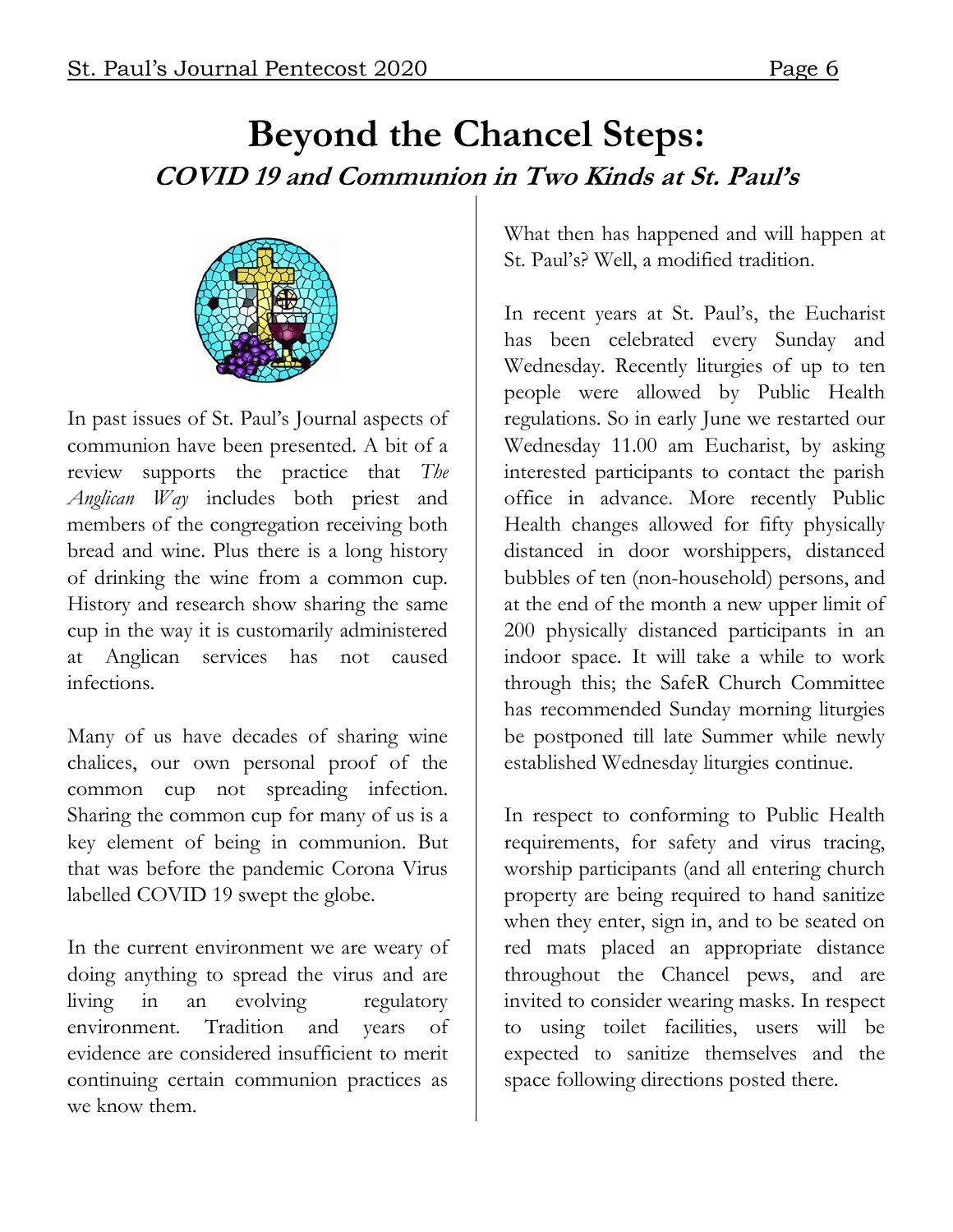#### **Beyond the Chancel Steps: COVID 19 and Communion in Two Kinds at St. Paul's**



In past issues of St. Paul's Journal aspects of communion have been presented. A bit of a review supports the practice that *The Anglican Way* includes both priest and members of the congregation receiving both bread and wine. Plus there is a long history of drinking the wine from a common cup. History and research show sharing the same cup in the way it is customarily administered at Anglican services has not caused infections.

Many of us have decades of sharing wine chalices, our own personal proof of the common cup not spreading infection. Sharing the common cup for many of us is a key element of being in communion. But that was before the pandemic Corona Virus labelled COVID 19 swept the globe.

In the current environment we are weary of doing anything to spread the virus and are living in an evolving regulatory environment. Tradition and years of evidence are considered insufficient to merit continuing certain communion practices as we know them.

What then has happened and will happen at St. Paul's? Well, a modified tradition.

In recent years at St. Paul's, the Eucharist has been celebrated every Sunday and Wednesday. Recently liturgies of up to ten people were allowed by Public Health regulations. So in early June we restarted our Wednesday 11.00 am Eucharist, by asking interested participants to contact the parish office in advance. More recently Public Health changes allowed for fifty physically distanced in door worshippers, distanced bubbles of ten (non-household) persons, and at the end of the month a new upper limit of 200 physically distanced participants in an indoor space. It will take a while to work through this; the SafeR Church Committee has recommended Sunday morning liturgies be postponed till late Summer while newly established Wednesday liturgies continue.

In respect to conforming to Public Health requirements, for safety and virus tracing, worship participants (and all entering church property are being required to hand sanitize when they enter, sign in, and to be seated on red mats placed an appropriate distance throughout the Chancel pews, and are invited to consider wearing masks. In respect to using toilet facilities, users will be expected to sanitize themselves and the space following directions posted there.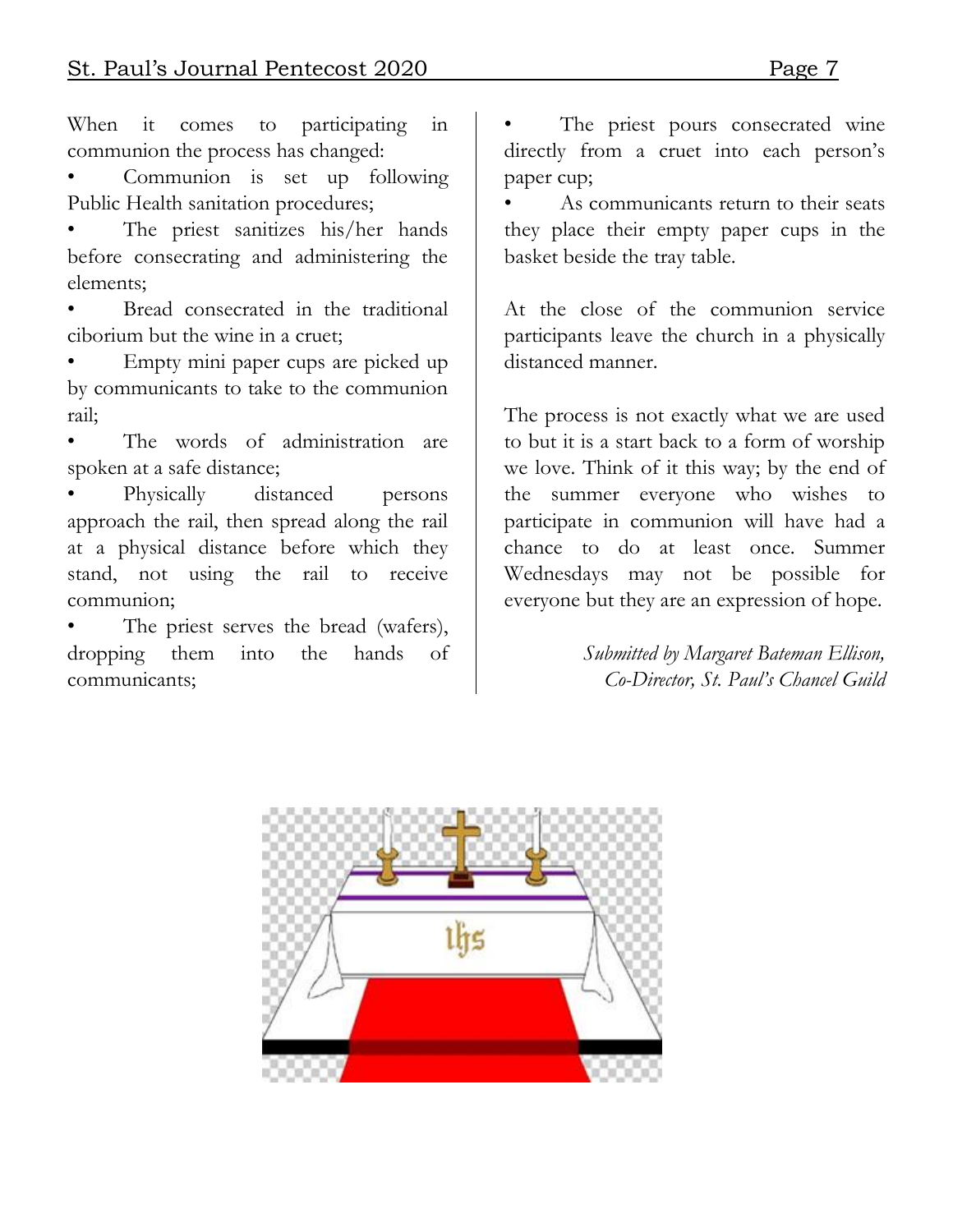When it comes to participating in communion the process has changed:

Communion is set up following Public Health sanitation procedures;

The priest sanitizes his/her hands before consecrating and administering the elements;

Bread consecrated in the traditional ciborium but the wine in a cruet;

• Empty mini paper cups are picked up by communicants to take to the communion rail;

The words of administration are spoken at a safe distance;

Physically distanced persons approach the rail, then spread along the rail at a physical distance before which they stand, not using the rail to receive communion;

The priest serves the bread (wafers), dropping them into the hands of communicants;

The priest pours consecrated wine directly from a cruet into each person's paper cup;

As communicants return to their seats they place their empty paper cups in the basket beside the tray table.

At the close of the communion service participants leave the church in a physically distanced manner.

The process is not exactly what we are used to but it is a start back to a form of worship we love. Think of it this way; by the end of the summer everyone who wishes to participate in communion will have had a chance to do at least once. Summer Wednesdays may not be possible for everyone but they are an expression of hope.

> *Submitted by Margaret Bateman Ellison, Co-Director, St. Paul's Chancel Guild*

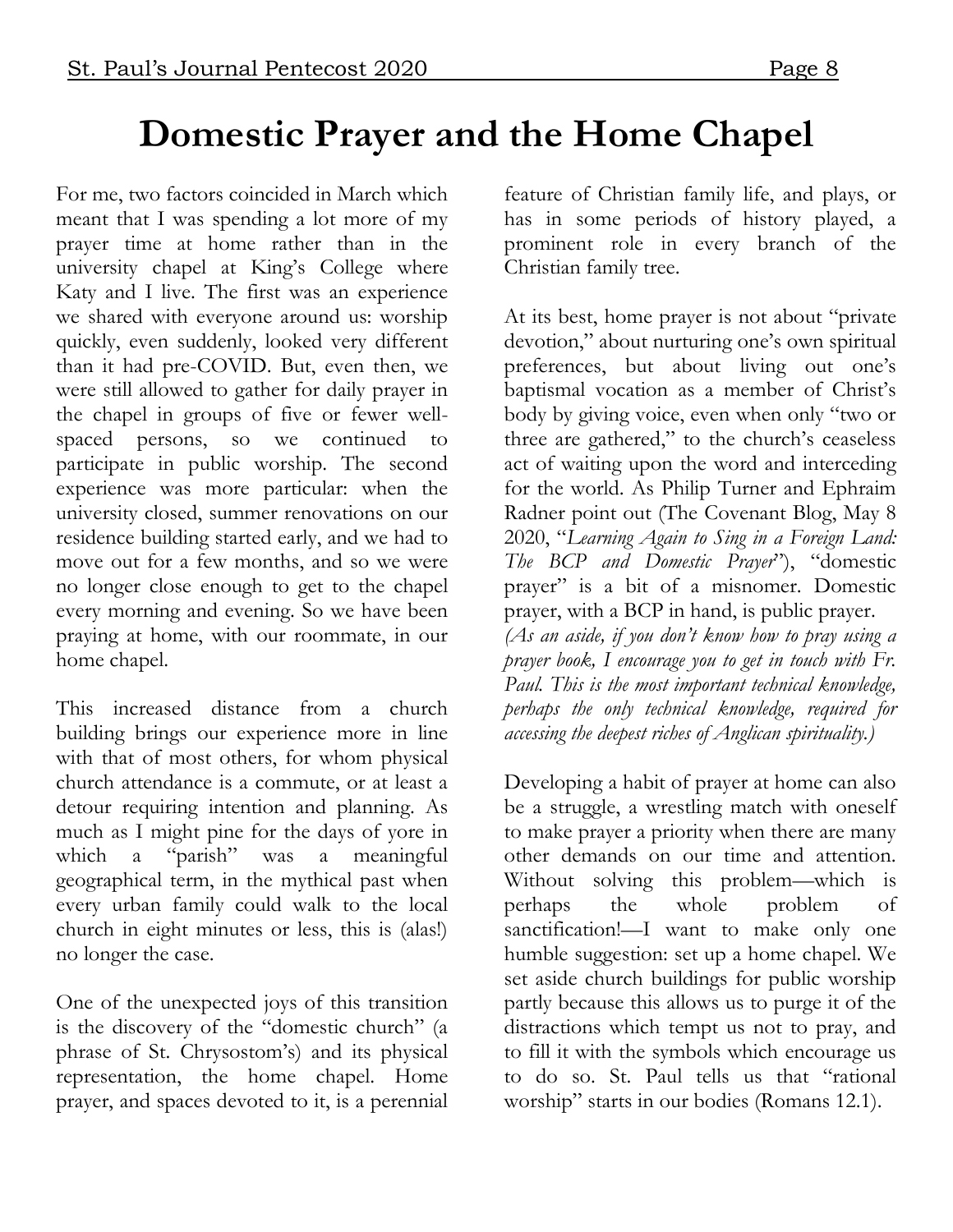#### **Domestic Prayer and the Home Chapel**

For me, two factors coincided in March which meant that I was spending a lot more of my prayer time at home rather than in the university chapel at King's College where Katy and I live. The first was an experience we shared with everyone around us: worship quickly, even suddenly, looked very different than it had pre-COVID. But, even then, we were still allowed to gather for daily prayer in the chapel in groups of five or fewer wellspaced persons, so we continued participate in public worship. The second experience was more particular: when the university closed, summer renovations on our residence building started early, and we had to move out for a few months, and so we were no longer close enough to get to the chapel every morning and evening. So we have been praying at home, with our roommate, in our home chapel.

This increased distance from a church building brings our experience more in line with that of most others, for whom physical church attendance is a commute, or at least a detour requiring intention and planning. As much as I might pine for the days of yore in which a "parish" was a meaningful geographical term, in the mythical past when every urban family could walk to the local church in eight minutes or less, this is (alas!) no longer the case.

One of the unexpected joys of this transition is the discovery of the "domestic church" (a phrase of St. Chrysostom's) and its physical representation, the home chapel. Home prayer, and spaces devoted to it, is a perennial

feature of Christian family life, and plays, or has in some periods of history played, a prominent role in every branch of the Christian family tree.

At its best, home prayer is not about "private devotion," about nurturing one's own spiritual preferences, but about living out one's baptismal vocation as a member of Christ's body by giving voice, even when only "two or three are gathered," to the church's ceaseless act of waiting upon the word and interceding for the world. As Philip Turner and Ephraim Radner point out (The Covenant Blog, May 8 2020, "*Learning Again to Sing in a Foreign Land: The BCP and Domestic Prayer*"), "domestic prayer" is a bit of a misnomer. Domestic prayer, with a BCP in hand, is public prayer. *(As an aside, if you don't know how to pray using a prayer book, I encourage you to get in touch with Fr. Paul. This is the most important technical knowledge, perhaps the only technical knowledge, required for accessing the deepest riches of Anglican spirituality.)*

Developing a habit of prayer at home can also be a struggle, a wrestling match with oneself to make prayer a priority when there are many other demands on our time and attention. Without solving this problem—which is perhaps the whole problem of sanctification!—I want to make only one humble suggestion: set up a home chapel. We set aside church buildings for public worship partly because this allows us to purge it of the distractions which tempt us not to pray, and to fill it with the symbols which encourage us to do so. St. Paul tells us that "rational worship" starts in our bodies (Romans 12.1).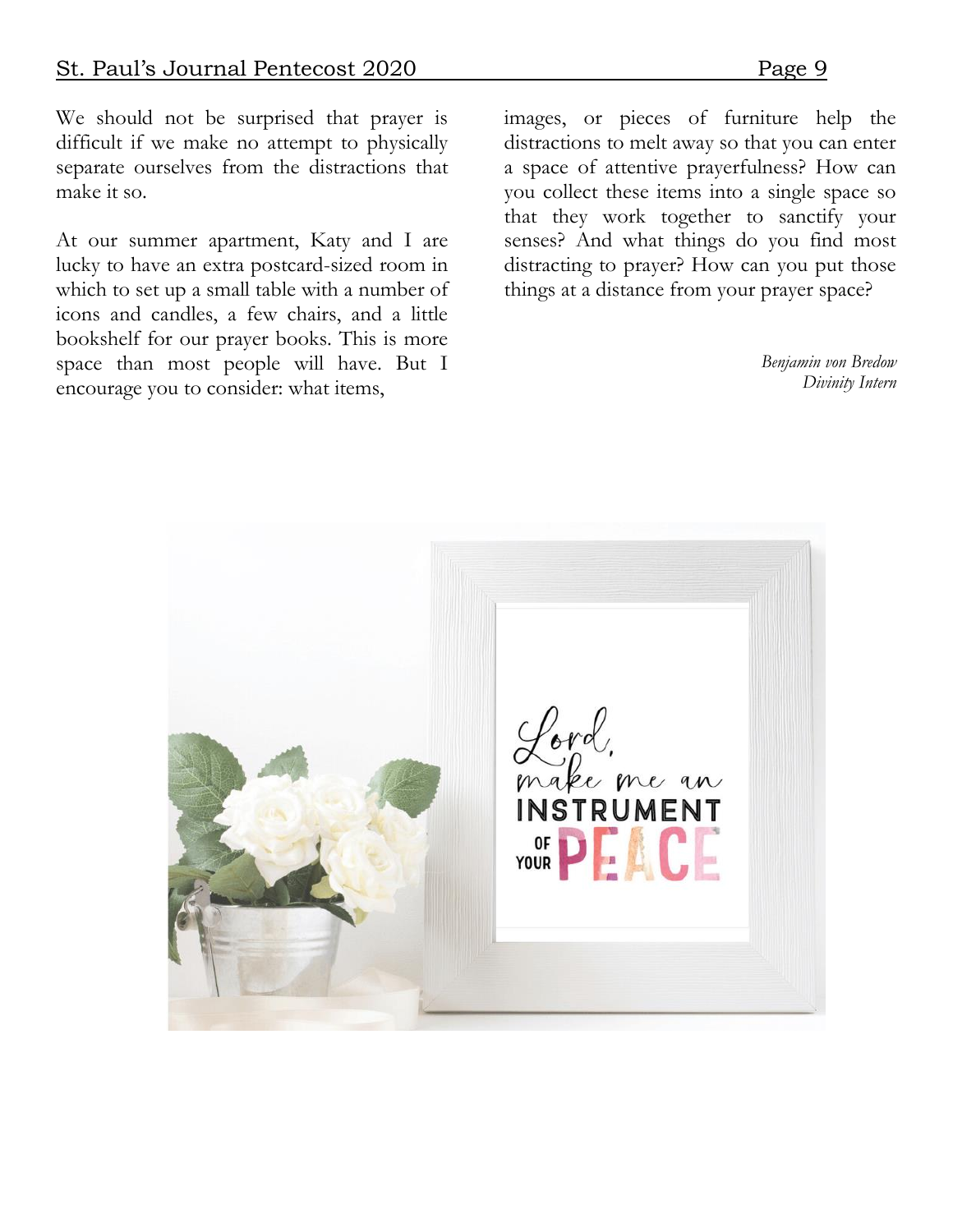We should not be surprised that prayer is difficult if we make no attempt to physically separate ourselves from the distractions that make it so.

At our summer apartment, Katy and I are lucky to have an extra postcard-sized room in which to set up a small table with a number of icons and candles, a few chairs, and a little bookshelf for our prayer books. This is more space than most people will have. But I encourage you to consider: what items,

images, or pieces of furniture help the distractions to melt away so that you can enter a space of attentive prayerfulness? How can you collect these items into a single space so that they work together to sanctify your senses? And what things do you find most distracting to prayer? How can you put those things at a distance from your prayer space?

> *Benjamin von Bredow Divinity Intern*

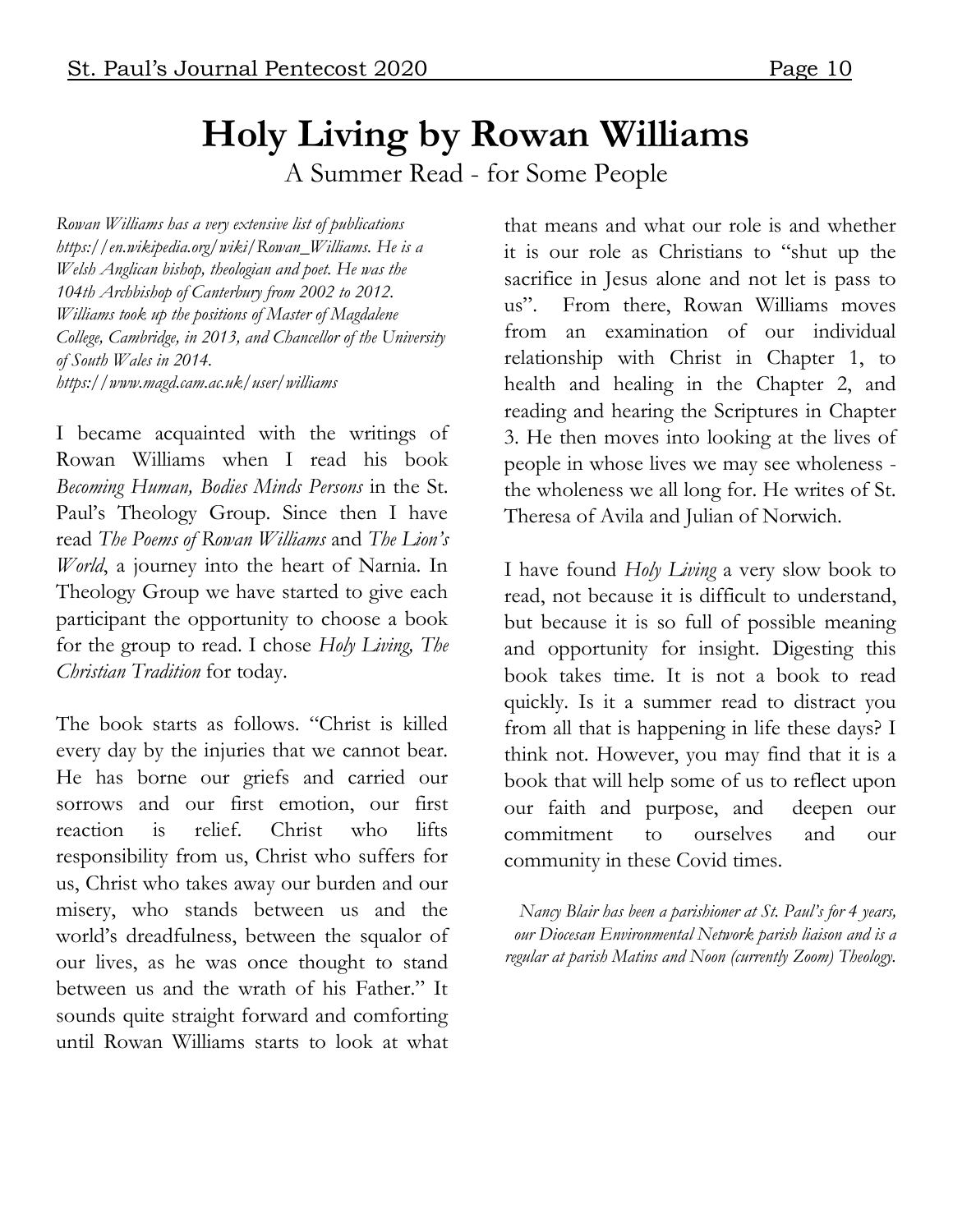## **Holy Living by Rowan Williams**

A Summer Read - for Some People

*Rowan Williams has a very extensive list of publications https://en.wikipedia.org/wiki/Rowan\_Williams. He is a Welsh Anglican bishop, theologian and poet. He was the 104th Archbishop of Canterbury from 2002 to 2012. Williams took up the positions of Master of Magdalene College, Cambridge, in 2013, and Chancellor of the University of South Wales in 2014. https://www.magd.cam.ac.uk/user/williams* 

I became acquainted with the writings of Rowan Williams when I read his book *Becoming Human, Bodies Minds Persons* in the St. Paul's Theology Group. Since then I have read *The Poems of Rowan Williams* and *The Lion's World*, a journey into the heart of Narnia. In Theology Group we have started to give each participant the opportunity to choose a book for the group to read. I chose *Holy Living, The Christian Tradition* for today.

The book starts as follows. "Christ is killed every day by the injuries that we cannot bear. He has borne our griefs and carried our sorrows and our first emotion, our first reaction is relief. Christ who lifts responsibility from us, Christ who suffers for us, Christ who takes away our burden and our misery, who stands between us and the world's dreadfulness, between the squalor of our lives, as he was once thought to stand between us and the wrath of his Father." It sounds quite straight forward and comforting until Rowan Williams starts to look at what

that means and what our role is and whether it is our role as Christians to "shut up the sacrifice in Jesus alone and not let is pass to us". From there, Rowan Williams moves from an examination of our individual relationship with Christ in Chapter 1, to health and healing in the Chapter 2, and reading and hearing the Scriptures in Chapter 3. He then moves into looking at the lives of people in whose lives we may see wholeness the wholeness we all long for. He writes of St. Theresa of Avila and Julian of Norwich.

I have found *Holy Living* a very slow book to read, not because it is difficult to understand, but because it is so full of possible meaning and opportunity for insight. Digesting this book takes time. It is not a book to read quickly. Is it a summer read to distract you from all that is happening in life these days? I think not. However, you may find that it is a book that will help some of us to reflect upon our faith and purpose, and deepen our commitment to ourselves and our community in these Covid times.

*Nancy Blair has been a parishioner at St. Paul's for 4 years, our Diocesan Environmental Network parish liaison and is a regular at parish Matins and Noon (currently Zoom) Theology.*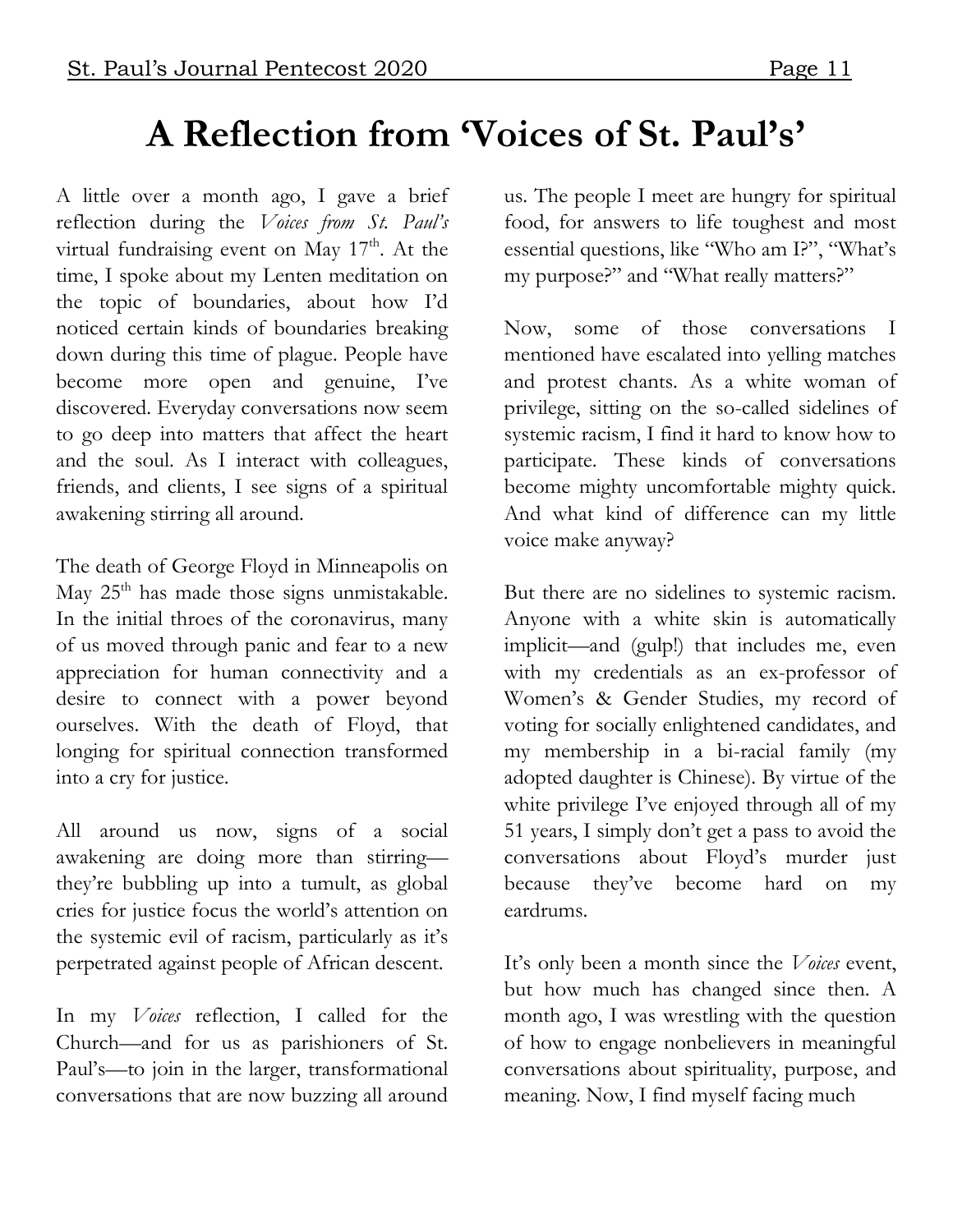## **A Reflection from 'Voices of St. Paul's'**

A little over a month ago, I gave a brief reflection during the *Voices from St. Paul's* virtual fundraising event on May  $17<sup>th</sup>$ . At the time, I spoke about my Lenten meditation on the topic of boundaries, about how I'd noticed certain kinds of boundaries breaking down during this time of plague. People have become more open and genuine, I've discovered. Everyday conversations now seem to go deep into matters that affect the heart and the soul. As I interact with colleagues, friends, and clients, I see signs of a spiritual awakening stirring all around.

The death of George Floyd in Minneapolis on May 25<sup>th</sup> has made those signs unmistakable. In the initial throes of the coronavirus, many of us moved through panic and fear to a new appreciation for human connectivity and a desire to connect with a power beyond ourselves. With the death of Floyd, that longing for spiritual connection transformed into a cry for justice.

All around us now, signs of a social awakening are doing more than stirring they're bubbling up into a tumult, as global cries for justice focus the world's attention on the systemic evil of racism, particularly as it's perpetrated against people of African descent.

In my *Voices* reflection, I called for the Church—and for us as parishioners of St. Paul's—to join in the larger, transformational conversations that are now buzzing all around

us. The people I meet are hungry for spiritual food, for answers to life toughest and most essential questions, like "Who am I?", "What's my purpose?" and "What really matters?"

Now, some of those conversations I mentioned have escalated into yelling matches and protest chants. As a white woman of privilege, sitting on the so-called sidelines of systemic racism, I find it hard to know how to participate. These kinds of conversations become mighty uncomfortable mighty quick. And what kind of difference can my little voice make anyway?

But there are no sidelines to systemic racism. Anyone with a white skin is automatically implicit—and (gulp!) that includes me, even with my credentials as an ex-professor of Women's & Gender Studies, my record of voting for socially enlightened candidates, and my membership in a bi-racial family (my adopted daughter is Chinese). By virtue of the white privilege I've enjoyed through all of my 51 years, I simply don't get a pass to avoid the conversations about Floyd's murder just because they've become hard on my eardrums.

It's only been a month since the *Voices* event, but how much has changed since then. A month ago, I was wrestling with the question of how to engage nonbelievers in meaningful conversations about spirituality, purpose, and meaning. Now, I find myself facing much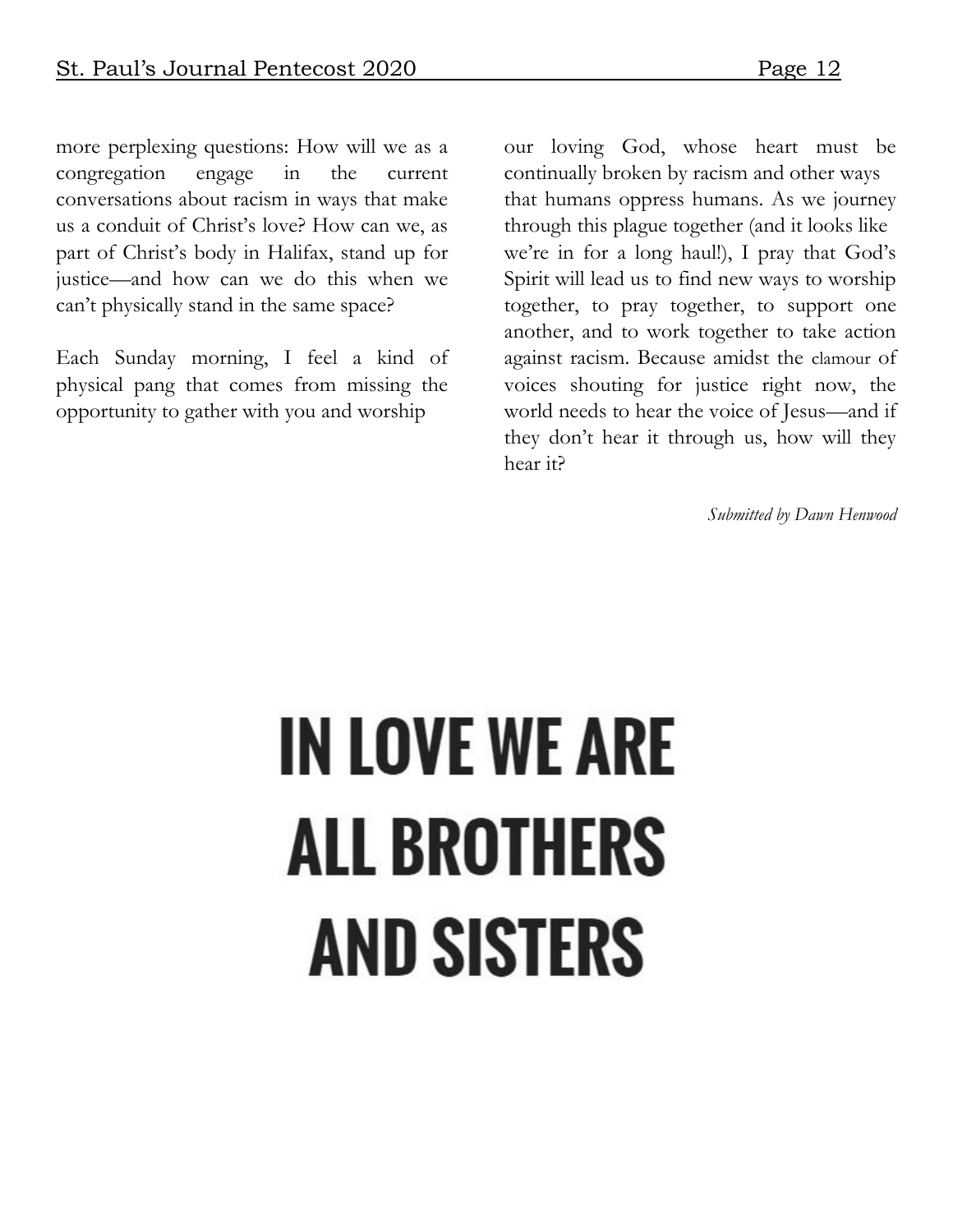more perplexing questions: How will we as a congregation engage in the current conversations about racism in ways that make us a conduit of Christ's love? How can we, as part of Christ's body in Halifax, stand up for justice—and how can we do this when we can't physically stand in the same space?

Each Sunday morning, I feel a kind of physical pang that comes from missing the opportunity to gather with you and worship

our loving God, whose heart must be continually broken by racism and other ways that humans oppress humans. As we journey through this plague together (and it looks like we're in for a long haul!), I pray that God's Spirit will lead us to find new ways to worship together, to pray together, to support one another, and to work together to take action against racism. Because amidst the clamour of voices shouting for justice right now, the world needs to hear the voice of Jesus—and if they don't hear it through us, how will they hear it?

*Submitted by Dawn Henwood*

# **IN LOVE WE ARE ALL BROTHERS AND SISTERS**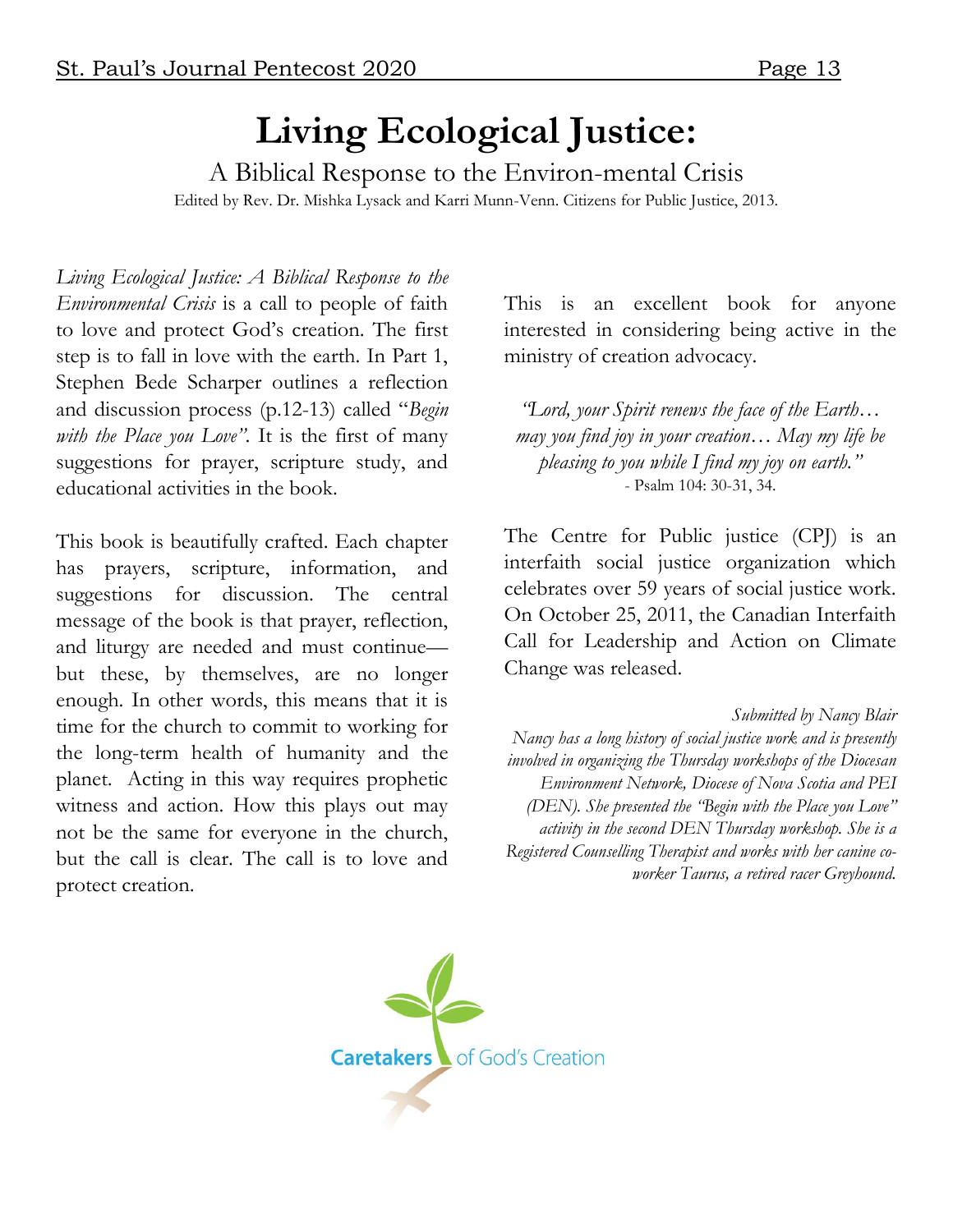#### **Living Ecological Justice:**

A Biblical Response to the Environ-mental Crisis Edited by Rev. Dr. Mishka Lysack and Karri Munn-Venn. Citizens for Public Justice, 2013.

*Living Ecological Justice: A Biblical Response to the Environmental Crisis* is a call to people of faith to love and protect God's creation. The first step is to fall in love with the earth. In Part 1, Stephen Bede Scharper outlines a reflection and discussion process (p.12-13) called "*Begin with the Place you Love"*. It is the first of many suggestions for prayer, scripture study, and educational activities in the book.

This book is beautifully crafted. Each chapter has prayers, scripture, information, and suggestions for discussion. The central message of the book is that prayer, reflection, and liturgy are needed and must continue but these, by themselves, are no longer enough. In other words, this means that it is time for the church to commit to working for the long-term health of humanity and the planet. Acting in this way requires prophetic witness and action. How this plays out may not be the same for everyone in the church, but the call is clear. The call is to love and protect creation.

This is an excellent book for anyone interested in considering being active in the ministry of creation advocacy.

*"Lord, your Spirit renews the face of the Earth… may you find joy in your creation… May my life be pleasing to you while I find my joy on earth."* - Psalm 104: 30-31, 34.

The Centre for Public justice (CPJ) is an interfaith social justice organization which celebrates over 59 years of social justice work. On October 25, 2011, the Canadian Interfaith Call for Leadership and Action on Climate Change was released.

*Submitted by Nancy Blair Nancy has a long history of social justice work and is presently involved in organizing the Thursday workshops of the Diocesan Environment Network, Diocese of Nova Scotia and PEI (DEN). She presented the "Begin with the Place you Love" activity in the second DEN Thursday workshop. She is a Registered Counselling Therapist and works with her canine coworker Taurus, a retired racer Greyhound.*

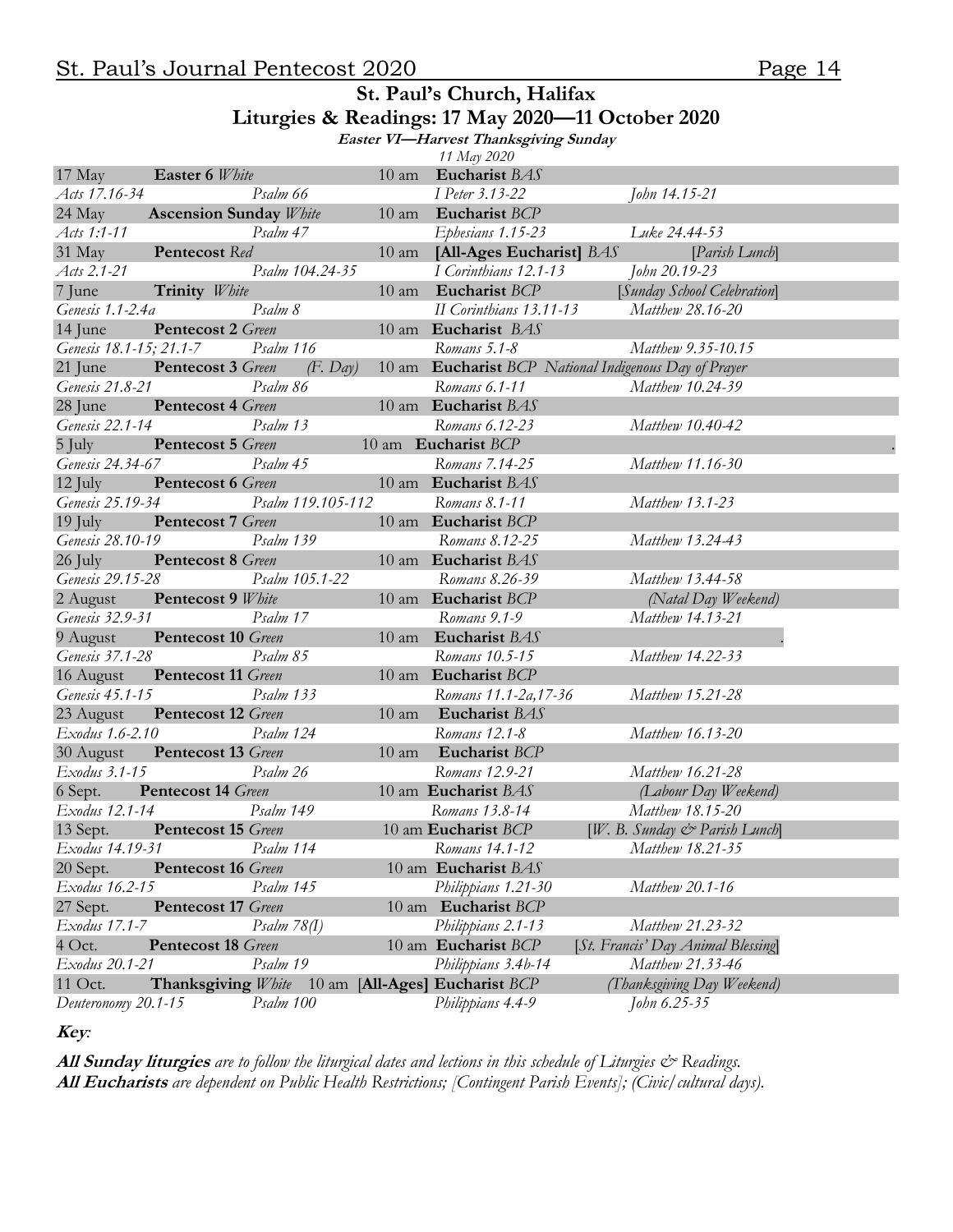#### **St. Paul's Church, Halifax Liturgies & Readings: 17 May 2020—11 October 2020**

**Easter VI—Harvest Thanksgiving Sunday** 

|                         |                               |                         |                   |                 | 11 May 2020                    |                                                       |  |
|-------------------------|-------------------------------|-------------------------|-------------------|-----------------|--------------------------------|-------------------------------------------------------|--|
| 17 May                  | Easter 6 White                |                         |                   | $10 \text{ am}$ | Eucharist BAS                  |                                                       |  |
| Acts 17.16-34           |                               | Psalm 66                |                   |                 | I Peter 3.13-22                | John 14.15-21                                         |  |
| 24 May                  | <b>Ascension Sunday White</b> |                         |                   |                 | 10 am Eucharist BCP            |                                                       |  |
| Acts 1:1-11             |                               | Psalm 47                |                   |                 | Ephesians 1.15-23              | Luke 24.44-53                                         |  |
| 31 May                  | Pentecost Red                 |                         |                   | $10 \text{ am}$ | [All-Ages Eucharist] BAS       | [Parish Lunch]                                        |  |
| Acts 2.1-21             |                               |                         | Psalm 104.24-35   |                 | I Corinthians 12.1-13          | John 20.19-23                                         |  |
| 7 June                  | Trinity White                 |                         |                   | $10 \text{ am}$ | Eucharist BCP                  | [Sunday School Celebration]                           |  |
| Genesis 1.1-2.4a        |                               | Psalm 8                 |                   |                 | II Corinthians 13.11-13        | Matthew 28.16-20                                      |  |
| 14 June                 | Pentecost 2 Green             |                         |                   |                 | 10 am Eucharist BAS            |                                                       |  |
| Genesis 18.1-15; 21.1-7 |                               | Psalm 116               |                   |                 | Romans 5.1-8                   | Matthew 9.35-10.15                                    |  |
| 21 June                 | Pentecost 3 Green             |                         | $(F.$ Day         |                 |                                | 10 am Eucharist BCP National Indigenous Day of Prayer |  |
| Genesis 21.8-21         |                               | Psalm 86                |                   |                 | Romans 6.1-11                  | Matthew 10.24-39                                      |  |
| 28 June                 | Pentecost 4 Green             |                         |                   |                 | 10 am Eucharist BAS            |                                                       |  |
| Genesis 22.1-14         |                               | Psalm 13                |                   |                 | Romans 6.12-23                 | Matthew 10.40-42                                      |  |
| 5 July                  | Pentecost 5 Green             |                         |                   |                 | 10 am Eucharist BCP            |                                                       |  |
| Genesis 24.34-67        |                               | Psalm 45                |                   |                 | Romans 7.14-25                 | Matthew 11.16-30                                      |  |
| $12$ July               | Pentecost 6 Green             |                         |                   |                 | 10 am Eucharist BAS            |                                                       |  |
| Genesis 25.19-34        |                               |                         | Psalm 119.105-112 |                 | Romans 8.1-11                  | Matthew 13.1-23                                       |  |
| $19$ July               | Pentecost 7 Green             |                         |                   |                 | 10 am Eucharist BCP            |                                                       |  |
| Genesis 28.10-19        |                               | Psalm 139               |                   |                 | Romans 8.12-25                 | Matthew 13.24-43                                      |  |
| 26 July                 | Pentecost 8 Green             |                         |                   |                 | 10 am Eucharist BAS            |                                                       |  |
| Genesis 29.15-28        |                               |                         | Psalm 105.1-22    |                 | Romans 8.26-39                 | Matthew 13.44-58                                      |  |
| 2 August                | Pentecost 9 White             |                         |                   |                 | 10 am Eucharist BCP            | (Natal Day Weekend)                                   |  |
| Genesis 32.9-31         |                               | Psalm 17                |                   |                 | Romans 9.1-9                   | Matthew 14.13-21                                      |  |
| 9 August                | <b>Pentecost 10</b> Green     |                         |                   |                 | 10 am Eucharist BAS            |                                                       |  |
| Genesis 37.1-28         |                               | Psalm 85                |                   |                 | Romans 10.5-15                 | Matthew 14.22-33                                      |  |
| 16 August               | <b>Pentecost 11 Green</b>     |                         |                   |                 | 10 am Eucharist BCP            |                                                       |  |
| Genesis 45.1-15         |                               | Psalm 133               |                   |                 | Romans 11.1-2a, 17-36          | Matthew 15.21-28                                      |  |
| 23 August               | <b>Pentecost 12 Green</b>     |                         |                   | $10 \text{ am}$ | Eucharist BAS                  |                                                       |  |
| Exodus 1.6-2.10         |                               | Psalm 124               |                   |                 | Romans 12.1-8                  | Matthew 16.13-20                                      |  |
| 30 August               | <b>Pentecost 13</b> Green     |                         |                   | $10 \text{ am}$ | Eucharist BCP                  |                                                       |  |
| Exodus 3.1-15           |                               | Psalm 26                |                   |                 | Romans 12.9-21                 | Matthew 16.21-28                                      |  |
| 6 Sept.                 | <b>Pentecost 14 Green</b>     |                         |                   |                 | 10 am Eucharist BAS            | (Labour Day Weekend)                                  |  |
| Exodus 12.1-14          |                               | Psalm 149               |                   |                 | Romans 13.8-14                 | Matthew 18.15-20                                      |  |
|                         | 13 Sept. Pentecost 15 Green   |                         |                   |                 | 10 am Eucharist BCP            | $[W, B, Sunday \circ Parisb Lunch]$                   |  |
| Exodus 14.19-31         |                               | Psalm 114               |                   |                 | Romans 14.1-12                 | Matthew 18.21-35                                      |  |
| 20 Sept.                | <b>Pentecost 16 Green</b>     |                         |                   |                 | 10 am Eucharist BAS            |                                                       |  |
| Exodus 16.2-15          |                               | Psalm 145               |                   |                 | Philippians 1.21-30            | Matthew 20.1-16                                       |  |
| 27 Sept.                | <b>Pentecost 17 Green</b>     |                         |                   |                 | 10 am Eucharist BCP            |                                                       |  |
| Exodus 17.1-7           |                               | $P_{\text{Salm}}$ 78(I) |                   |                 | Philippians 2.1-13             | Matthew 21.23-32                                      |  |
| $4$ Oct.                | <b>Pentecost 18</b> Green     |                         |                   |                 | 10 am Eucharist BCP            | [St. Francis' Day Animal Blessing]                    |  |
| Exodus 20.1-21          |                               | Psalm 19                |                   |                 | Philippians 3.4b-14            | Matthew 21.33-46                                      |  |
| 11 Oct.                 | Thanksgiving White            |                         |                   |                 | 10 am [All-Ages] Eucharist BCP | (Thanksgiving Day Weekend)                            |  |
| Deuteronomy 20.1-15     |                               | Psalm 100               |                   |                 | Philippians 4.4-9              | John 6.25-35                                          |  |

**Key***:* 

**All Sunday liturgies** *are to follow the liturgical dates and lections in this schedule of Liturgies & Readings.* **All Eucharists** *are dependent on Public Health Restrictions; [Contingent Parish Events]; (Civic/cultural days).*